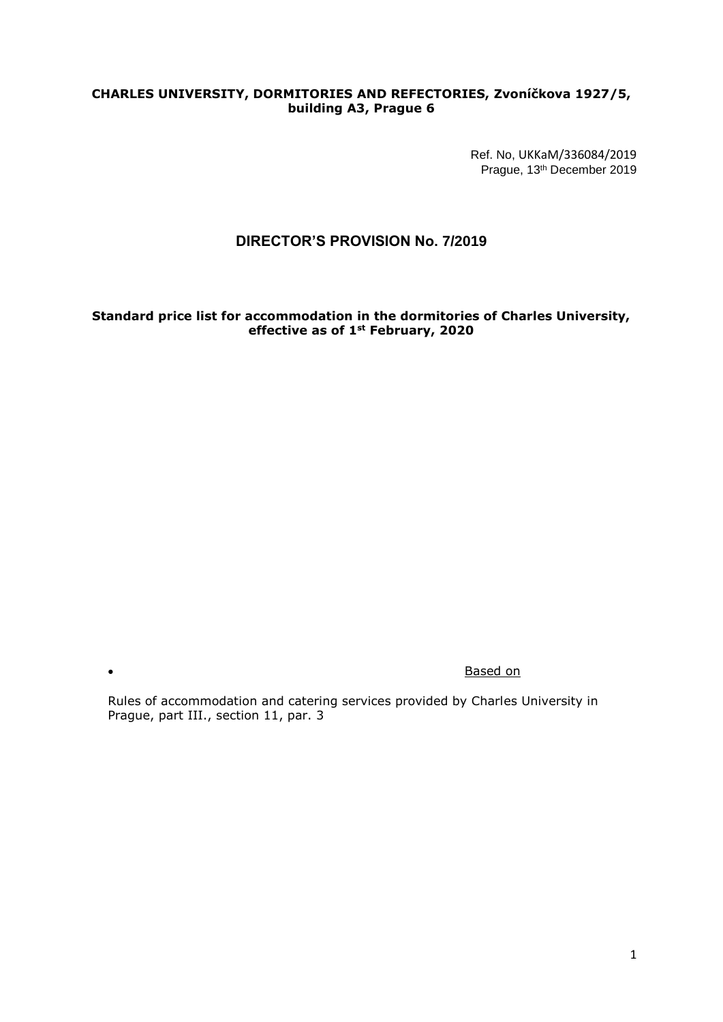## **CHARLES UNIVERSITY, DORMITORIES AND REFECTORIES, Zvoníčkova 1927/5, building A3, Prague 6**

Ref. No, [UKKaM/336084/2019](https://essuk.is.cuni.cz/ost/posta/brow_spis.php?cislo_spisu1=336084&cislo_spisu2=2019&doc_id=1001689192) Prague, 13th December 2019

# **DIRECTOR'S PROVISION No. 7/2019**

**Standard price list for accommodation in the dormitories of Charles University, effective as of 1st February, 2020**

**Contract on the Contract of the Contract of the Contract of the Contract of the Contract of the Contract of the Contract of the Contract of the Contract of the Contract of the Contract of the Contract of the Contract of t** 

Rules of accommodation and catering services provided by Charles University in Prague, part III., section 11, par. 3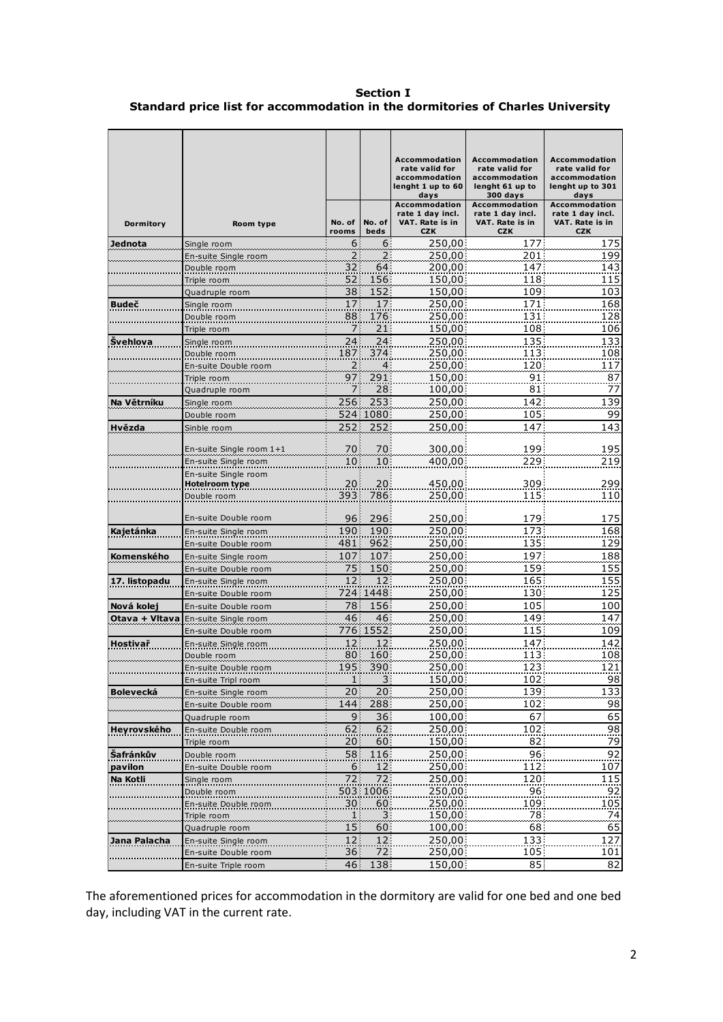**Section I Standard price list for accommodation in the dormitories of Charles University** 

|                             |                                              |                 |                 | <b>Accommodation</b><br>rate valid for<br>accommodation<br>lenght 1 up to 60<br>days<br><b>Accommodation</b> | <b>Accommodation</b><br>rate valid for<br>accommodation<br>lenght 61 up to<br>300 days<br><b>Accommodation</b> | <b>Accommodation</b><br>rate valid for<br>accommodation<br>lenght up to 301<br>days<br><b>Accommodation</b> |
|-----------------------------|----------------------------------------------|-----------------|-----------------|--------------------------------------------------------------------------------------------------------------|----------------------------------------------------------------------------------------------------------------|-------------------------------------------------------------------------------------------------------------|
| Dormitory                   | Room type                                    | No. of<br>rooms | No. of<br>beds  | rate 1 day incl.<br>VAT. Rate is in<br><b>CZK</b>                                                            | rate 1 day incl.<br>VAT. Rate is in<br><b>CZK</b>                                                              | rate 1 day incl.<br>VAT. Rate is in<br><b>CZK</b>                                                           |
| Jednota                     | Single room                                  | $6 \mid$        | 6 <sup>1</sup>  | 250,00                                                                                                       | 177                                                                                                            | 175                                                                                                         |
|                             | En-suite Single room                         | 2               | 2               | 250,00                                                                                                       | 201                                                                                                            | 199                                                                                                         |
|                             | Double room                                  | 32              | 64              | 200,00                                                                                                       | 147                                                                                                            | 143                                                                                                         |
|                             | Triple room                                  | 52<br>38 (      | 156<br>152      | 150,00<br>150,00                                                                                             | 118<br>109                                                                                                     | 115<br>103                                                                                                  |
| <b>Budeč</b>                | Quadruple room<br>Single room                | 17              | 17              | 250,00                                                                                                       | 171                                                                                                            | 168                                                                                                         |
|                             | Double room                                  | 88              | 176             | 250,00                                                                                                       | 131                                                                                                            | 128                                                                                                         |
|                             | Triple room                                  | 7               | 21              | 150,00                                                                                                       | 108                                                                                                            | 106                                                                                                         |
| <b>Švehlova</b>             | Single room                                  | 24              | 24              | 250,00                                                                                                       | 135                                                                                                            | 133                                                                                                         |
|                             | Double room                                  | 187             | 374             | 250,00                                                                                                       | 113                                                                                                            | 108                                                                                                         |
|                             | En-suite Double room                         | 2               | 4               | 250,00                                                                                                       | 120                                                                                                            | 117                                                                                                         |
|                             | Triple room                                  | 97              | 291             | 150,00                                                                                                       | 91                                                                                                             | 87                                                                                                          |
|                             | Quadruple room                               | 7               | 28              | 100,00                                                                                                       | 81                                                                                                             | 77                                                                                                          |
| Na Větrníku                 | Single room                                  | 256             | 253             | 250,00                                                                                                       | 142                                                                                                            | 139                                                                                                         |
|                             | Double room                                  | 252             | 524 1080<br>252 | 250,00                                                                                                       | 105<br>147                                                                                                     | 99<br>143                                                                                                   |
| Hvězda                      | Sinble room                                  |                 |                 | 250,00                                                                                                       |                                                                                                                |                                                                                                             |
|                             | En-suite Single room 1+1                     | 70              | 70              | 300,00                                                                                                       | 199                                                                                                            | 195                                                                                                         |
|                             | En-suite Single room                         | 10              | $10\,$          | 400,00                                                                                                       | 229                                                                                                            | 219                                                                                                         |
|                             | En-suite Single room                         |                 |                 |                                                                                                              |                                                                                                                |                                                                                                             |
|                             | <b>Hotelroom type</b>                        | 20              | 20              | 450,00                                                                                                       | 309                                                                                                            | 299                                                                                                         |
|                             | Double room                                  | 393             | 786             | 250,00                                                                                                       | 115                                                                                                            | 110                                                                                                         |
|                             | En-suite Double room                         | 96 !            | 296             | 250,00                                                                                                       | 179                                                                                                            | 175                                                                                                         |
| Kajetánka                   | En-suite Single room                         | 190             | 190             | 250,00                                                                                                       | 173                                                                                                            | 168                                                                                                         |
|                             | En-suite Double room                         | 481             | 962             | 250,00                                                                                                       | 135                                                                                                            | 129                                                                                                         |
| Komenského                  | En-suite Single room                         | 107             | 107             | 250,00                                                                                                       | 197                                                                                                            | 188                                                                                                         |
|                             | En-suite Double room                         | 75)             | 150             | 250,00                                                                                                       | 159                                                                                                            | 155                                                                                                         |
| 17. listopadu               | En-suite Single room                         | 12              | 12 <sup>3</sup> | 250,00                                                                                                       | 165                                                                                                            | 155                                                                                                         |
|                             | En-suite Double room                         |                 | 724 1448        | 250,00                                                                                                       | 130                                                                                                            | 125                                                                                                         |
| Nová kolej                  | En-suite Double room                         | 78 <br>46       | 156<br>46       | 250,00                                                                                                       | 105                                                                                                            | 100                                                                                                         |
| Otava + Vltava              | En-suite Single room<br>En-suite Double room |                 | 776 1552        | 250,00<br>250,00                                                                                             | 149<br>115                                                                                                     | 147<br>109                                                                                                  |
| Hostivař                    | En-suite Single room                         | 12              | 12 <sup>1</sup> | 250,00                                                                                                       | 147                                                                                                            | 142                                                                                                         |
|                             | Double room                                  | 80              | 160             | 250,00                                                                                                       | 113                                                                                                            | 108                                                                                                         |
|                             | En-suite Double room                         | 195             | 390             | 250,00                                                                                                       | 123                                                                                                            | 121                                                                                                         |
|                             | En-suite Tripl room                          | 1               | 3 <sup>1</sup>  | 150,00                                                                                                       | 102                                                                                                            | 98                                                                                                          |
| Bolevecká                   | En-suite Single room                         | 20              | 20:             | 250,00                                                                                                       | 139                                                                                                            | 133                                                                                                         |
|                             | En-suite Double room                         | 144             | 288             | 250,00                                                                                                       | 102                                                                                                            | 98                                                                                                          |
|                             | Quadruple room                               | 9               | 36              | 100,00                                                                                                       | 67                                                                                                             | 65                                                                                                          |
| Heyrovského                 | En-suite Double room                         | 62              | 62              | 250,00                                                                                                       | 102                                                                                                            | $\overline{98}$                                                                                             |
|                             | Triple room                                  | 20              | 60:             | 150,00                                                                                                       | 82                                                                                                             | 79                                                                                                          |
| <b>Šafránkův</b><br>pavilon | Double room                                  | 58<br>$6 \mid$  | 116<br>12       | 250,00<br>250,00                                                                                             | 96<br>112                                                                                                      | $\overline{92}$<br>107                                                                                      |
| Na Kotli                    | En-suite Double room<br>Single room          | 72              | 72              | 250,00                                                                                                       | 120                                                                                                            | 115                                                                                                         |
|                             | Double room                                  |                 | 503 1006        | 250,00                                                                                                       | 96                                                                                                             | 92                                                                                                          |
|                             | En-suite Double room                         | 30              | 60              | 250,00                                                                                                       | 109                                                                                                            | 105                                                                                                         |
|                             | Triple room                                  | 1               |                 | 150,00                                                                                                       | 78                                                                                                             | $\frac{74}{1}$                                                                                              |
|                             | Quadruple room                               | 15              | 60              | 100,00                                                                                                       | 68                                                                                                             | 65                                                                                                          |
| Jana Palacha                | En-suite Single room                         | 12              | 12 <sup>1</sup> | 250,00                                                                                                       | 133                                                                                                            | 127                                                                                                         |
|                             | En-suite Double room                         | 36              | 72              | 250,00                                                                                                       | 105                                                                                                            | 101                                                                                                         |
|                             | En-suite Triple room                         | 46              | 138             | 150,00                                                                                                       | 85                                                                                                             | 82                                                                                                          |

The aforementioned prices for accommodation in the dormitory are valid for one bed and one bed day, including VAT in the current rate.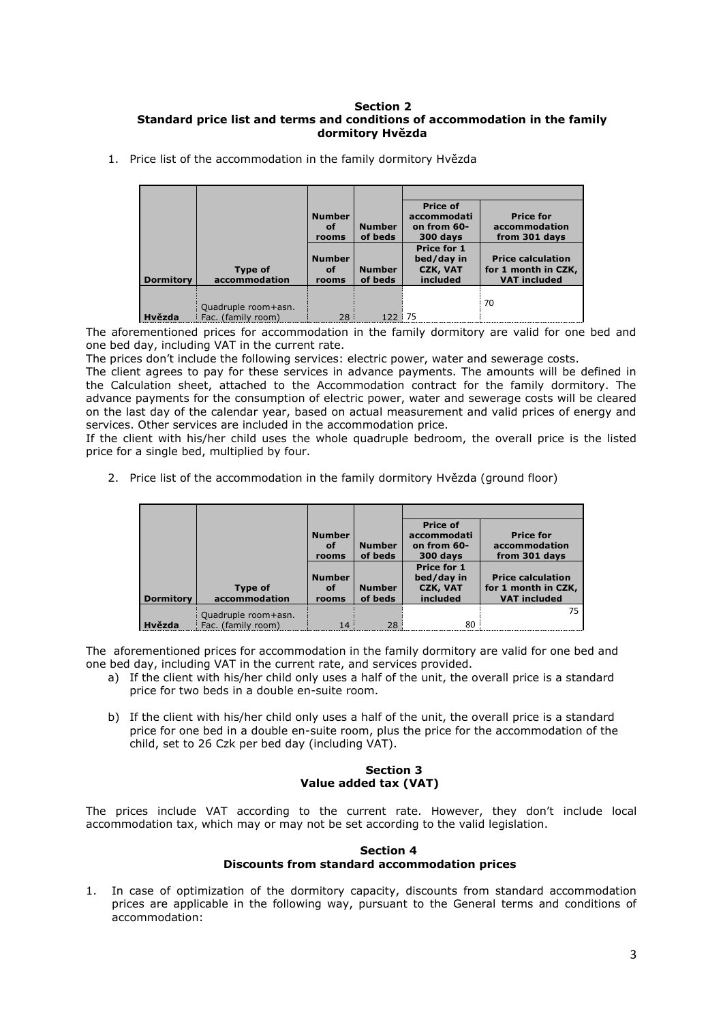#### **Section 2 Standard price list and terms and conditions of accommodation in the family dormitory Hvězda**

|                  |                                           | <b>Number</b><br>of<br>rooms | <b>Number</b><br>of beds | <b>Price of</b><br>accommodati<br>on from 60-<br>300 days       | <b>Price for</b><br>accommodation<br>from 301 days                     |
|------------------|-------------------------------------------|------------------------------|--------------------------|-----------------------------------------------------------------|------------------------------------------------------------------------|
| <b>Dormitory</b> | Type of<br>accommodation                  | <b>Number</b><br>οf<br>rooms | <b>Number</b><br>of beds | <b>Price for 1</b><br>bed/day in<br><b>CZK, VAT</b><br>included | <b>Price calculation</b><br>for 1 month in CZK,<br><b>VAT included</b> |
| Hvězda           | Quadruple room+asn.<br>Fac. (family room) | 28                           |                          | 75                                                              | 70                                                                     |

1. Price list of the accommodation in the family dormitory Hvězda

The aforementioned prices for accommodation in the family dormitory are valid for one bed and one bed day, including VAT in the current rate.

The prices don't include the following services: electric power, water and sewerage costs.

The client agrees to pay for these services in advance payments. The amounts will be defined in the Calculation sheet, attached to the Accommodation contract for the family dormitory. The advance payments for the consumption of electric power, water and sewerage costs will be cleared on the last day of the calendar year, based on actual measurement and valid prices of energy and services. Other services are included in the accommodation price.

If the client with his/her child uses the whole quadruple bedroom, the overall price is the listed price for a single bed, multiplied by four.

2. Price list of the accommodation in the family dormitory Hvězda (ground floor)

|                  |                     | <b>Number</b> |               | <b>Price of</b><br>accommodati | <b>Price for</b>         |
|------------------|---------------------|---------------|---------------|--------------------------------|--------------------------|
|                  |                     | of            | <b>Number</b> | on from 60-                    | accommodation            |
|                  |                     | rooms         | of beds       | 300 days                       | from 301 days            |
|                  |                     |               |               | Price for 1                    |                          |
|                  |                     | <b>Number</b> |               | bed/day in                     | <b>Price calculation</b> |
|                  | Type of             | of            | <b>Number</b> | <b>CZK, VAT</b>                | for 1 month in CZK,      |
| <b>Dormitory</b> | accommodation       | rooms         | of beds       | included                       | <b>VAT included</b>      |
|                  | Quadruple room+asn. |               |               |                                | 75                       |
| Hvězda           | Fac. (family room)  | 14            | 28            | 80                             |                          |

The aforementioned prices for accommodation in the family dormitory are valid for one bed and one bed day, including VAT in the current rate, and services provided.

- a) If the client with his/her child only uses a half of the unit, the overall price is a standard price for two beds in a double en-suite room.
- b) If the client with his/her child only uses a half of the unit, the overall price is a standard price for one bed in a double en-suite room, plus the price for the accommodation of the child, set to 26 Czk per bed day (including VAT).

## **Section 3 Value added tax (VAT)**

The prices include VAT according to the current rate. However, they don't include local accommodation tax, which may or may not be set according to the valid legislation.

#### **Section 4 Discounts from standard accommodation prices**

1. In case of optimization of the dormitory capacity, discounts from standard accommodation prices are applicable in the following way, pursuant to the General terms and conditions of accommodation: